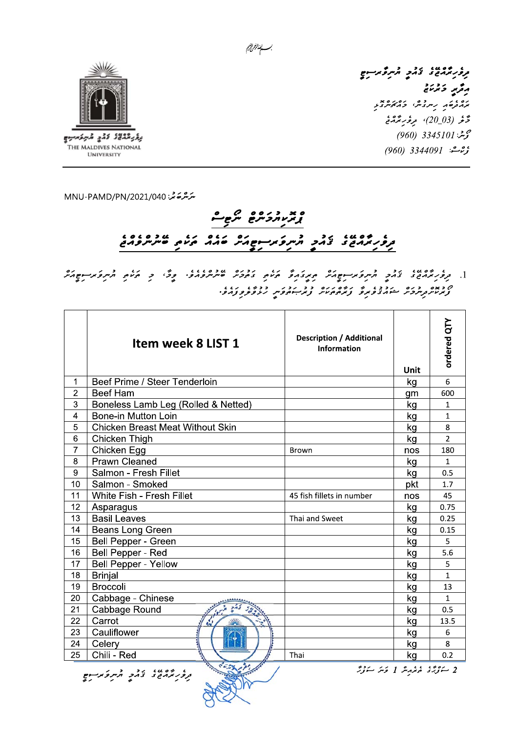

THE MALDIVES NATIONAL

**UNIVERSITY** 

، دەي، بود قرىر قرىر دىن بول وقرير وترعنى ים ג'<br>מג<sub>בק</sub>סת קייקצייקי בה*אייצי*ת دَّثَر (20\_20)، مِرْحُرِ بَرْدَةَ فِي محمد بن 3345101 (960) ې<sub>ۋ</sub>م شە: 3344091 (960)

سرَ شرعة حمَّد: MNU-PAMD/PN/2021/040

## و بديد دروه مرجع י בסעי גבר בתקלת משורש בים גי שבסיםים

.<br>بـــــالنداز<sub>خرالزخيم</sub>

ס באס בים בים בי זה המסינים בב נבני בבימי נגור.<br>באנזיקטיובני המהבפאופ באופסטיי, באיזיקפיי, ניצפיפפלופי

|                | Item week 8 LIST 1                      | <b>Description / Additional</b><br><b>Information</b> | Unit | ordered QTY    |
|----------------|-----------------------------------------|-------------------------------------------------------|------|----------------|
| 1              | Beef Prime / Steer Tenderloin           |                                                       | kg   | 6              |
| $\overline{2}$ | <b>Beef Ham</b>                         |                                                       | gm   | 600            |
| 3              | Boneless Lamb Leg (Rolled & Netted)     |                                                       | kg   | 1              |
| 4              | <b>Bone-in Mutton Loin</b>              |                                                       | kg   | 1              |
| 5              | <b>Chicken Breast Meat Without Skin</b> |                                                       | kg   | 8              |
| 6              | Chicken Thigh                           |                                                       | kg   | $\overline{2}$ |
| $\overline{7}$ | Chicken Egg                             | <b>Brown</b>                                          | nos  | 180            |
| 8              | <b>Prawn Cleaned</b>                    |                                                       | kg   | $\mathbf{1}$   |
| 9              | Salmon - Fresh Fillet                   |                                                       | kg   | 0.5            |
| 10             | Salmon - Smoked                         |                                                       | pkt  | 1.7            |
| 11             | White Fish - Fresh Fillet               | 45 fish fillets in number                             | nos  | 45             |
| 12             | Asparagus                               |                                                       | kg   | 0.75           |
| 13             | <b>Basil Leaves</b>                     | Thai and Sweet                                        | kg   | 0.25           |
| 14             | Beans Long Green                        |                                                       | kg   | 0.15           |
| 15             | Bell Pepper - Green                     |                                                       | kg   | 5              |
| 16             | Bell Pepper - Red                       |                                                       | kg   | 5.6            |
| 17             | <b>Bell Pepper - Yellow</b>             |                                                       | kg   | 5              |
| 18             | <b>Brinjal</b>                          |                                                       | kg   | 1              |
| 19             | <b>Broccoli</b>                         |                                                       | kg   | 13             |
| 20             | Cabbage - Chinese                       |                                                       | kg   | $\mathbf{1}$   |
| 21             | Cabbage Round                           |                                                       | kg   | 0.5            |
| 22             | Carrot                                  |                                                       | kg   | 13.5           |
| 23             | Cauliflower                             |                                                       | kg   | 6              |
| 24             | Celery                                  |                                                       | kg   | 8              |
| 25             | Chili - Red                             | Thai                                                  | kg   | 0.2            |

י שיפון ברי ריית באישים<br>בקפק באת ביצאת מיית פאני אישי

2 سَوْيَرُى مُحَمَّدِينَ 1 مَتَرَ سَوْرَتَرَ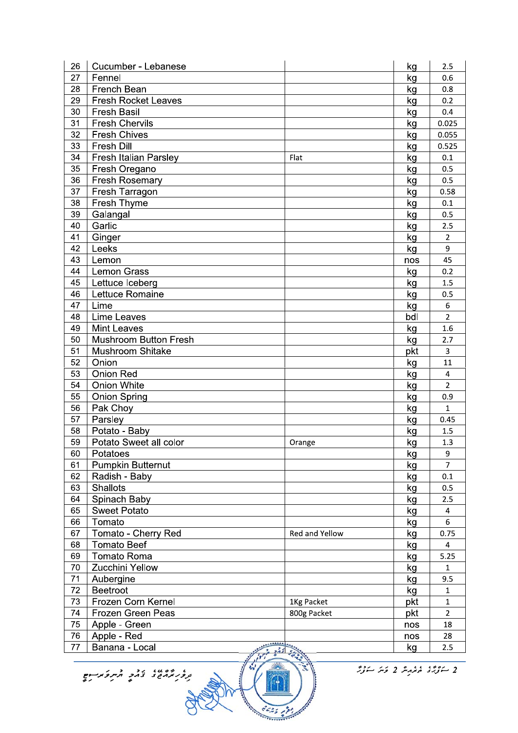| 27<br>Fennel<br>kg<br>0.6<br>28<br>French Bean<br>kg<br>0.8<br><b>Fresh Rocket Leaves</b><br>29<br>0.2<br>kg<br>30<br><b>Fresh Basil</b><br>0.4<br>kg<br><b>Fresh Chervils</b><br>31<br>0.025<br>kg<br><b>Fresh Chives</b><br>32<br>kg<br>0.055<br>33<br><b>Fresh Dill</b><br>0.525<br>kg<br>34<br>Fresh Italian Parsley<br>Flat<br>kg<br>0.1<br>35<br>Fresh Oregano<br>0.5<br>kg<br>Fresh Rosemary<br>36<br>0.5<br>kg<br>37<br>Fresh Tarragon<br>0.58<br>kg<br>Fresh Thyme<br>38<br>kg<br>0.1<br>Galangal<br>39<br>kg<br>0.5<br>Garlic<br>40<br>2.5<br>kg<br>Ginger<br>41<br>$\overline{2}$<br>kg<br>9<br>42<br>Leeks<br>kg<br>43<br>Lemon<br>45<br>nos<br>44<br><b>Lemon Grass</b><br>0.2<br>kg<br>45<br>Lettuce Iceberg<br>1.5<br>kg<br>Lettuce Romaine<br>46<br>0.5<br>kg<br>6<br>47<br>Lime<br>kg<br>48<br><b>Lime Leaves</b><br>bdl<br>$\overline{2}$<br>49<br><b>Mint Leaves</b><br>1.6<br>kg<br><b>Mushroom Button Fresh</b><br>50<br>2.7<br>kg<br>Mushroom Shitake<br>51<br>$\overline{3}$<br>pkt<br>52<br>11<br>Onion<br>kg<br><b>Onion Red</b><br>53<br>$\overline{4}$<br>kg<br>54<br><b>Onion White</b><br>$\overline{2}$<br>kg<br>55<br><b>Onion Spring</b><br>0.9<br>kg<br>56<br>Pak Choy<br>$\mathbf{1}$<br>kg<br>Parsley<br>57<br>0.45<br>kg<br>Potato - Baby<br>58<br>1.5<br>kg<br>59<br>Potato Sweet all color<br>1.3<br>kg<br>Orange<br>60<br>Potatoes<br>kg<br>9<br>$\overline{7}$<br>Pumpkin Butternut<br>61<br>kg<br>62<br>Radish - Baby<br>0.1<br>kg<br><b>Shallots</b><br>63<br>0.5<br>kg<br>Spinach Baby<br>64<br>kg<br>2.5<br><b>Sweet Potato</b><br>65<br>kg<br>4<br>Tomato<br>66<br>6<br>kg<br>67<br>Tomato - Cherry Red<br>0.75<br>Red and Yellow<br>kg<br><b>Tomato Beef</b><br>68<br>$\overline{4}$<br>kg<br><b>Tomato Roma</b><br>69<br>5.25<br>kg<br>Zucchini Yellow<br>70<br>kg<br>$\mathbf{1}$<br>71<br>Aubergine<br>9.5<br>kg<br>72<br><b>Beetroot</b><br>kg<br>$\mathbf{1}$<br>73<br>Frozen Corn Kernel<br>$\mathbf{1}$<br>1Kg Packet<br>pkt<br>74<br>Frozen Green Peas<br>$\overline{2}$<br>800g Packet<br>pkt<br>75<br>Apple - Green<br>18<br>nos<br>Apple - Red<br>76<br>28<br>nos<br>Banana - Local<br>77<br>kg<br>2.5<br>$\frac{2}{2}$ | 26 | Cucumber - Lebanese | kg | 2.5 |
|----------------------------------------------------------------------------------------------------------------------------------------------------------------------------------------------------------------------------------------------------------------------------------------------------------------------------------------------------------------------------------------------------------------------------------------------------------------------------------------------------------------------------------------------------------------------------------------------------------------------------------------------------------------------------------------------------------------------------------------------------------------------------------------------------------------------------------------------------------------------------------------------------------------------------------------------------------------------------------------------------------------------------------------------------------------------------------------------------------------------------------------------------------------------------------------------------------------------------------------------------------------------------------------------------------------------------------------------------------------------------------------------------------------------------------------------------------------------------------------------------------------------------------------------------------------------------------------------------------------------------------------------------------------------------------------------------------------------------------------------------------------------------------------------------------------------------------------------------------------------------------------------------------------------------------------------------------------------------------------------------------------------------------------------------------------------------------------------------------------------------------------------------------------------------------|----|---------------------|----|-----|
|                                                                                                                                                                                                                                                                                                                                                                                                                                                                                                                                                                                                                                                                                                                                                                                                                                                                                                                                                                                                                                                                                                                                                                                                                                                                                                                                                                                                                                                                                                                                                                                                                                                                                                                                                                                                                                                                                                                                                                                                                                                                                                                                                                                  |    |                     |    |     |
|                                                                                                                                                                                                                                                                                                                                                                                                                                                                                                                                                                                                                                                                                                                                                                                                                                                                                                                                                                                                                                                                                                                                                                                                                                                                                                                                                                                                                                                                                                                                                                                                                                                                                                                                                                                                                                                                                                                                                                                                                                                                                                                                                                                  |    |                     |    |     |
|                                                                                                                                                                                                                                                                                                                                                                                                                                                                                                                                                                                                                                                                                                                                                                                                                                                                                                                                                                                                                                                                                                                                                                                                                                                                                                                                                                                                                                                                                                                                                                                                                                                                                                                                                                                                                                                                                                                                                                                                                                                                                                                                                                                  |    |                     |    |     |
|                                                                                                                                                                                                                                                                                                                                                                                                                                                                                                                                                                                                                                                                                                                                                                                                                                                                                                                                                                                                                                                                                                                                                                                                                                                                                                                                                                                                                                                                                                                                                                                                                                                                                                                                                                                                                                                                                                                                                                                                                                                                                                                                                                                  |    |                     |    |     |
|                                                                                                                                                                                                                                                                                                                                                                                                                                                                                                                                                                                                                                                                                                                                                                                                                                                                                                                                                                                                                                                                                                                                                                                                                                                                                                                                                                                                                                                                                                                                                                                                                                                                                                                                                                                                                                                                                                                                                                                                                                                                                                                                                                                  |    |                     |    |     |
|                                                                                                                                                                                                                                                                                                                                                                                                                                                                                                                                                                                                                                                                                                                                                                                                                                                                                                                                                                                                                                                                                                                                                                                                                                                                                                                                                                                                                                                                                                                                                                                                                                                                                                                                                                                                                                                                                                                                                                                                                                                                                                                                                                                  |    |                     |    |     |
|                                                                                                                                                                                                                                                                                                                                                                                                                                                                                                                                                                                                                                                                                                                                                                                                                                                                                                                                                                                                                                                                                                                                                                                                                                                                                                                                                                                                                                                                                                                                                                                                                                                                                                                                                                                                                                                                                                                                                                                                                                                                                                                                                                                  |    |                     |    |     |
|                                                                                                                                                                                                                                                                                                                                                                                                                                                                                                                                                                                                                                                                                                                                                                                                                                                                                                                                                                                                                                                                                                                                                                                                                                                                                                                                                                                                                                                                                                                                                                                                                                                                                                                                                                                                                                                                                                                                                                                                                                                                                                                                                                                  |    |                     |    |     |
|                                                                                                                                                                                                                                                                                                                                                                                                                                                                                                                                                                                                                                                                                                                                                                                                                                                                                                                                                                                                                                                                                                                                                                                                                                                                                                                                                                                                                                                                                                                                                                                                                                                                                                                                                                                                                                                                                                                                                                                                                                                                                                                                                                                  |    |                     |    |     |
|                                                                                                                                                                                                                                                                                                                                                                                                                                                                                                                                                                                                                                                                                                                                                                                                                                                                                                                                                                                                                                                                                                                                                                                                                                                                                                                                                                                                                                                                                                                                                                                                                                                                                                                                                                                                                                                                                                                                                                                                                                                                                                                                                                                  |    |                     |    |     |
|                                                                                                                                                                                                                                                                                                                                                                                                                                                                                                                                                                                                                                                                                                                                                                                                                                                                                                                                                                                                                                                                                                                                                                                                                                                                                                                                                                                                                                                                                                                                                                                                                                                                                                                                                                                                                                                                                                                                                                                                                                                                                                                                                                                  |    |                     |    |     |
|                                                                                                                                                                                                                                                                                                                                                                                                                                                                                                                                                                                                                                                                                                                                                                                                                                                                                                                                                                                                                                                                                                                                                                                                                                                                                                                                                                                                                                                                                                                                                                                                                                                                                                                                                                                                                                                                                                                                                                                                                                                                                                                                                                                  |    |                     |    |     |
|                                                                                                                                                                                                                                                                                                                                                                                                                                                                                                                                                                                                                                                                                                                                                                                                                                                                                                                                                                                                                                                                                                                                                                                                                                                                                                                                                                                                                                                                                                                                                                                                                                                                                                                                                                                                                                                                                                                                                                                                                                                                                                                                                                                  |    |                     |    |     |
|                                                                                                                                                                                                                                                                                                                                                                                                                                                                                                                                                                                                                                                                                                                                                                                                                                                                                                                                                                                                                                                                                                                                                                                                                                                                                                                                                                                                                                                                                                                                                                                                                                                                                                                                                                                                                                                                                                                                                                                                                                                                                                                                                                                  |    |                     |    |     |
|                                                                                                                                                                                                                                                                                                                                                                                                                                                                                                                                                                                                                                                                                                                                                                                                                                                                                                                                                                                                                                                                                                                                                                                                                                                                                                                                                                                                                                                                                                                                                                                                                                                                                                                                                                                                                                                                                                                                                                                                                                                                                                                                                                                  |    |                     |    |     |
|                                                                                                                                                                                                                                                                                                                                                                                                                                                                                                                                                                                                                                                                                                                                                                                                                                                                                                                                                                                                                                                                                                                                                                                                                                                                                                                                                                                                                                                                                                                                                                                                                                                                                                                                                                                                                                                                                                                                                                                                                                                                                                                                                                                  |    |                     |    |     |
|                                                                                                                                                                                                                                                                                                                                                                                                                                                                                                                                                                                                                                                                                                                                                                                                                                                                                                                                                                                                                                                                                                                                                                                                                                                                                                                                                                                                                                                                                                                                                                                                                                                                                                                                                                                                                                                                                                                                                                                                                                                                                                                                                                                  |    |                     |    |     |
|                                                                                                                                                                                                                                                                                                                                                                                                                                                                                                                                                                                                                                                                                                                                                                                                                                                                                                                                                                                                                                                                                                                                                                                                                                                                                                                                                                                                                                                                                                                                                                                                                                                                                                                                                                                                                                                                                                                                                                                                                                                                                                                                                                                  |    |                     |    |     |
|                                                                                                                                                                                                                                                                                                                                                                                                                                                                                                                                                                                                                                                                                                                                                                                                                                                                                                                                                                                                                                                                                                                                                                                                                                                                                                                                                                                                                                                                                                                                                                                                                                                                                                                                                                                                                                                                                                                                                                                                                                                                                                                                                                                  |    |                     |    |     |
|                                                                                                                                                                                                                                                                                                                                                                                                                                                                                                                                                                                                                                                                                                                                                                                                                                                                                                                                                                                                                                                                                                                                                                                                                                                                                                                                                                                                                                                                                                                                                                                                                                                                                                                                                                                                                                                                                                                                                                                                                                                                                                                                                                                  |    |                     |    |     |
|                                                                                                                                                                                                                                                                                                                                                                                                                                                                                                                                                                                                                                                                                                                                                                                                                                                                                                                                                                                                                                                                                                                                                                                                                                                                                                                                                                                                                                                                                                                                                                                                                                                                                                                                                                                                                                                                                                                                                                                                                                                                                                                                                                                  |    |                     |    |     |
|                                                                                                                                                                                                                                                                                                                                                                                                                                                                                                                                                                                                                                                                                                                                                                                                                                                                                                                                                                                                                                                                                                                                                                                                                                                                                                                                                                                                                                                                                                                                                                                                                                                                                                                                                                                                                                                                                                                                                                                                                                                                                                                                                                                  |    |                     |    |     |
|                                                                                                                                                                                                                                                                                                                                                                                                                                                                                                                                                                                                                                                                                                                                                                                                                                                                                                                                                                                                                                                                                                                                                                                                                                                                                                                                                                                                                                                                                                                                                                                                                                                                                                                                                                                                                                                                                                                                                                                                                                                                                                                                                                                  |    |                     |    |     |
|                                                                                                                                                                                                                                                                                                                                                                                                                                                                                                                                                                                                                                                                                                                                                                                                                                                                                                                                                                                                                                                                                                                                                                                                                                                                                                                                                                                                                                                                                                                                                                                                                                                                                                                                                                                                                                                                                                                                                                                                                                                                                                                                                                                  |    |                     |    |     |
|                                                                                                                                                                                                                                                                                                                                                                                                                                                                                                                                                                                                                                                                                                                                                                                                                                                                                                                                                                                                                                                                                                                                                                                                                                                                                                                                                                                                                                                                                                                                                                                                                                                                                                                                                                                                                                                                                                                                                                                                                                                                                                                                                                                  |    |                     |    |     |
|                                                                                                                                                                                                                                                                                                                                                                                                                                                                                                                                                                                                                                                                                                                                                                                                                                                                                                                                                                                                                                                                                                                                                                                                                                                                                                                                                                                                                                                                                                                                                                                                                                                                                                                                                                                                                                                                                                                                                                                                                                                                                                                                                                                  |    |                     |    |     |
|                                                                                                                                                                                                                                                                                                                                                                                                                                                                                                                                                                                                                                                                                                                                                                                                                                                                                                                                                                                                                                                                                                                                                                                                                                                                                                                                                                                                                                                                                                                                                                                                                                                                                                                                                                                                                                                                                                                                                                                                                                                                                                                                                                                  |    |                     |    |     |
|                                                                                                                                                                                                                                                                                                                                                                                                                                                                                                                                                                                                                                                                                                                                                                                                                                                                                                                                                                                                                                                                                                                                                                                                                                                                                                                                                                                                                                                                                                                                                                                                                                                                                                                                                                                                                                                                                                                                                                                                                                                                                                                                                                                  |    |                     |    |     |
|                                                                                                                                                                                                                                                                                                                                                                                                                                                                                                                                                                                                                                                                                                                                                                                                                                                                                                                                                                                                                                                                                                                                                                                                                                                                                                                                                                                                                                                                                                                                                                                                                                                                                                                                                                                                                                                                                                                                                                                                                                                                                                                                                                                  |    |                     |    |     |
|                                                                                                                                                                                                                                                                                                                                                                                                                                                                                                                                                                                                                                                                                                                                                                                                                                                                                                                                                                                                                                                                                                                                                                                                                                                                                                                                                                                                                                                                                                                                                                                                                                                                                                                                                                                                                                                                                                                                                                                                                                                                                                                                                                                  |    |                     |    |     |
|                                                                                                                                                                                                                                                                                                                                                                                                                                                                                                                                                                                                                                                                                                                                                                                                                                                                                                                                                                                                                                                                                                                                                                                                                                                                                                                                                                                                                                                                                                                                                                                                                                                                                                                                                                                                                                                                                                                                                                                                                                                                                                                                                                                  |    |                     |    |     |
|                                                                                                                                                                                                                                                                                                                                                                                                                                                                                                                                                                                                                                                                                                                                                                                                                                                                                                                                                                                                                                                                                                                                                                                                                                                                                                                                                                                                                                                                                                                                                                                                                                                                                                                                                                                                                                                                                                                                                                                                                                                                                                                                                                                  |    |                     |    |     |
|                                                                                                                                                                                                                                                                                                                                                                                                                                                                                                                                                                                                                                                                                                                                                                                                                                                                                                                                                                                                                                                                                                                                                                                                                                                                                                                                                                                                                                                                                                                                                                                                                                                                                                                                                                                                                                                                                                                                                                                                                                                                                                                                                                                  |    |                     |    |     |
|                                                                                                                                                                                                                                                                                                                                                                                                                                                                                                                                                                                                                                                                                                                                                                                                                                                                                                                                                                                                                                                                                                                                                                                                                                                                                                                                                                                                                                                                                                                                                                                                                                                                                                                                                                                                                                                                                                                                                                                                                                                                                                                                                                                  |    |                     |    |     |
|                                                                                                                                                                                                                                                                                                                                                                                                                                                                                                                                                                                                                                                                                                                                                                                                                                                                                                                                                                                                                                                                                                                                                                                                                                                                                                                                                                                                                                                                                                                                                                                                                                                                                                                                                                                                                                                                                                                                                                                                                                                                                                                                                                                  |    |                     |    |     |
|                                                                                                                                                                                                                                                                                                                                                                                                                                                                                                                                                                                                                                                                                                                                                                                                                                                                                                                                                                                                                                                                                                                                                                                                                                                                                                                                                                                                                                                                                                                                                                                                                                                                                                                                                                                                                                                                                                                                                                                                                                                                                                                                                                                  |    |                     |    |     |
|                                                                                                                                                                                                                                                                                                                                                                                                                                                                                                                                                                                                                                                                                                                                                                                                                                                                                                                                                                                                                                                                                                                                                                                                                                                                                                                                                                                                                                                                                                                                                                                                                                                                                                                                                                                                                                                                                                                                                                                                                                                                                                                                                                                  |    |                     |    |     |
|                                                                                                                                                                                                                                                                                                                                                                                                                                                                                                                                                                                                                                                                                                                                                                                                                                                                                                                                                                                                                                                                                                                                                                                                                                                                                                                                                                                                                                                                                                                                                                                                                                                                                                                                                                                                                                                                                                                                                                                                                                                                                                                                                                                  |    |                     |    |     |
|                                                                                                                                                                                                                                                                                                                                                                                                                                                                                                                                                                                                                                                                                                                                                                                                                                                                                                                                                                                                                                                                                                                                                                                                                                                                                                                                                                                                                                                                                                                                                                                                                                                                                                                                                                                                                                                                                                                                                                                                                                                                                                                                                                                  |    |                     |    |     |
|                                                                                                                                                                                                                                                                                                                                                                                                                                                                                                                                                                                                                                                                                                                                                                                                                                                                                                                                                                                                                                                                                                                                                                                                                                                                                                                                                                                                                                                                                                                                                                                                                                                                                                                                                                                                                                                                                                                                                                                                                                                                                                                                                                                  |    |                     |    |     |
|                                                                                                                                                                                                                                                                                                                                                                                                                                                                                                                                                                                                                                                                                                                                                                                                                                                                                                                                                                                                                                                                                                                                                                                                                                                                                                                                                                                                                                                                                                                                                                                                                                                                                                                                                                                                                                                                                                                                                                                                                                                                                                                                                                                  |    |                     |    |     |
|                                                                                                                                                                                                                                                                                                                                                                                                                                                                                                                                                                                                                                                                                                                                                                                                                                                                                                                                                                                                                                                                                                                                                                                                                                                                                                                                                                                                                                                                                                                                                                                                                                                                                                                                                                                                                                                                                                                                                                                                                                                                                                                                                                                  |    |                     |    |     |
|                                                                                                                                                                                                                                                                                                                                                                                                                                                                                                                                                                                                                                                                                                                                                                                                                                                                                                                                                                                                                                                                                                                                                                                                                                                                                                                                                                                                                                                                                                                                                                                                                                                                                                                                                                                                                                                                                                                                                                                                                                                                                                                                                                                  |    |                     |    |     |
|                                                                                                                                                                                                                                                                                                                                                                                                                                                                                                                                                                                                                                                                                                                                                                                                                                                                                                                                                                                                                                                                                                                                                                                                                                                                                                                                                                                                                                                                                                                                                                                                                                                                                                                                                                                                                                                                                                                                                                                                                                                                                                                                                                                  |    |                     |    |     |
|                                                                                                                                                                                                                                                                                                                                                                                                                                                                                                                                                                                                                                                                                                                                                                                                                                                                                                                                                                                                                                                                                                                                                                                                                                                                                                                                                                                                                                                                                                                                                                                                                                                                                                                                                                                                                                                                                                                                                                                                                                                                                                                                                                                  |    |                     |    |     |
|                                                                                                                                                                                                                                                                                                                                                                                                                                                                                                                                                                                                                                                                                                                                                                                                                                                                                                                                                                                                                                                                                                                                                                                                                                                                                                                                                                                                                                                                                                                                                                                                                                                                                                                                                                                                                                                                                                                                                                                                                                                                                                                                                                                  |    |                     |    |     |
|                                                                                                                                                                                                                                                                                                                                                                                                                                                                                                                                                                                                                                                                                                                                                                                                                                                                                                                                                                                                                                                                                                                                                                                                                                                                                                                                                                                                                                                                                                                                                                                                                                                                                                                                                                                                                                                                                                                                                                                                                                                                                                                                                                                  |    |                     |    |     |
|                                                                                                                                                                                                                                                                                                                                                                                                                                                                                                                                                                                                                                                                                                                                                                                                                                                                                                                                                                                                                                                                                                                                                                                                                                                                                                                                                                                                                                                                                                                                                                                                                                                                                                                                                                                                                                                                                                                                                                                                                                                                                                                                                                                  |    |                     |    |     |
|                                                                                                                                                                                                                                                                                                                                                                                                                                                                                                                                                                                                                                                                                                                                                                                                                                                                                                                                                                                                                                                                                                                                                                                                                                                                                                                                                                                                                                                                                                                                                                                                                                                                                                                                                                                                                                                                                                                                                                                                                                                                                                                                                                                  |    |                     |    |     |
|                                                                                                                                                                                                                                                                                                                                                                                                                                                                                                                                                                                                                                                                                                                                                                                                                                                                                                                                                                                                                                                                                                                                                                                                                                                                                                                                                                                                                                                                                                                                                                                                                                                                                                                                                                                                                                                                                                                                                                                                                                                                                                                                                                                  |    |                     |    |     |
|                                                                                                                                                                                                                                                                                                                                                                                                                                                                                                                                                                                                                                                                                                                                                                                                                                                                                                                                                                                                                                                                                                                                                                                                                                                                                                                                                                                                                                                                                                                                                                                                                                                                                                                                                                                                                                                                                                                                                                                                                                                                                                                                                                                  |    |                     |    |     |

3525 13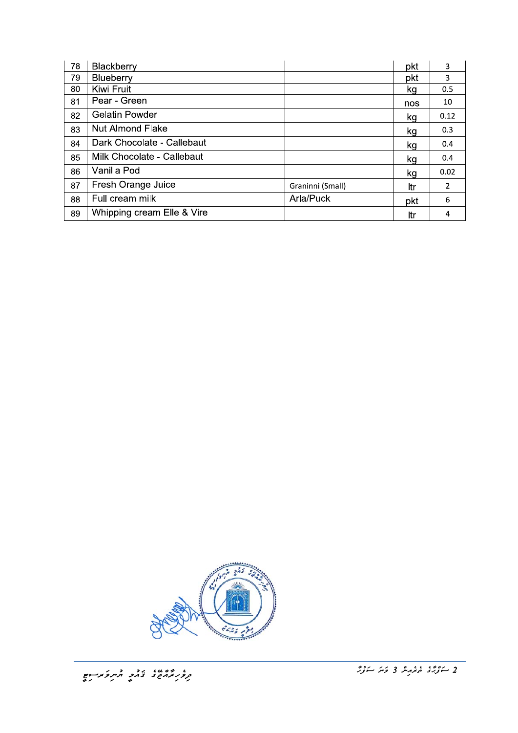| 78 | Blackberry                 |                  | pkt | 3              |
|----|----------------------------|------------------|-----|----------------|
| 79 | Blueberry                  |                  | pkt | 3              |
| 80 | Kiwi Fruit                 |                  | kg  | 0.5            |
| 81 | Pear - Green               |                  | nos | 10             |
| 82 | <b>Gelatin Powder</b>      |                  | kg  | 0.12           |
| 83 | <b>Nut Almond Flake</b>    |                  | kg  | 0.3            |
| 84 | Dark Chocolate - Callebaut |                  | kg  | 0.4            |
| 85 | Milk Chocolate - Callebaut |                  | kg  | 0.4            |
| 86 | Vanilla Pod                |                  | kg  | 0.02           |
| 87 | Fresh Orange Juice         | Graninni (Small) | ltr | $\overline{2}$ |
| 88 | Full cream milk            | Arla/Puck        | pkt | 6              |
| 89 | Whipping cream Elle & Vire |                  | ltr | 4              |

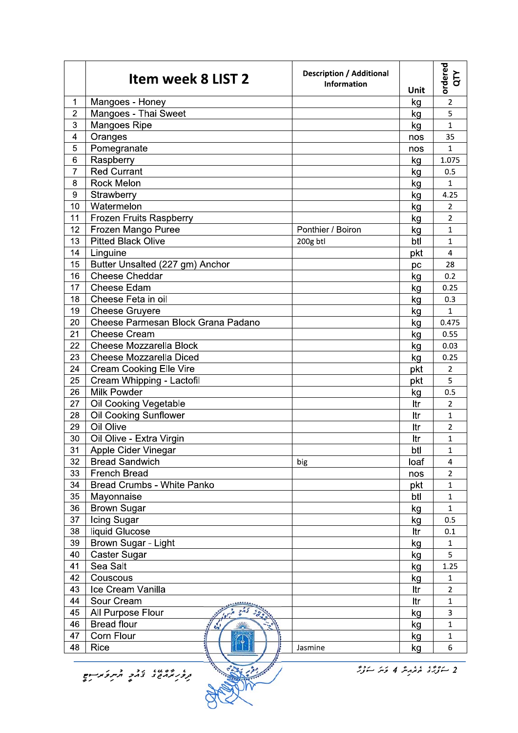|                | Item week 8 LIST 2                                                                   | <b>Description / Additional</b><br><b>Information</b> | Unit | ordered<br>QTY          |  |
|----------------|--------------------------------------------------------------------------------------|-------------------------------------------------------|------|-------------------------|--|
| 1              | Mangoes - Honey                                                                      |                                                       | kg   | $\overline{2}$          |  |
| $\overline{2}$ | Mangoes - Thai Sweet                                                                 |                                                       | kg   | 5                       |  |
| 3              | Mangoes Ripe                                                                         |                                                       | kg   | $\mathbf{1}$            |  |
| 4              | Oranges                                                                              |                                                       | nos  | 35                      |  |
| 5              | Pomegranate                                                                          |                                                       | nos  | $\mathbf{1}$            |  |
| 6              | Raspberry                                                                            |                                                       | kg   | 1.075                   |  |
| 7              | <b>Red Currant</b>                                                                   |                                                       | kg   | 0.5                     |  |
| 8              | Rock Melon                                                                           |                                                       | kg   | $\mathbf{1}$            |  |
| 9              | Strawberry                                                                           |                                                       | kg   | 4.25                    |  |
| 10             | Watermelon                                                                           |                                                       | kg   | $\overline{2}$          |  |
| 11             | Frozen Fruits Raspberry                                                              |                                                       | kg   | $\overline{2}$          |  |
| 12             | Frozen Mango Puree                                                                   | Ponthier / Boiron                                     | kg   | 1                       |  |
| 13             | <b>Pitted Black Olive</b>                                                            | 200g btl                                              | btl  | $\mathbf{1}$            |  |
| 14             | Linguine                                                                             |                                                       | pkt  | $\overline{\mathbf{4}}$ |  |
| 15             | Butter Unsalted (227 gm) Anchor                                                      |                                                       | рc   | 28                      |  |
| 16             | Cheese Cheddar                                                                       |                                                       | kg   | 0.2                     |  |
| 17             | Cheese Edam                                                                          |                                                       | kg   | 0.25                    |  |
| 18             | Cheese Feta in oil                                                                   |                                                       | kg   | 0.3                     |  |
| 19             | <b>Cheese Gruyere</b>                                                                |                                                       | kg   | $\mathbf{1}$            |  |
| 20             | Cheese Parmesan Block Grana Padano                                                   |                                                       | kg   | 0.475                   |  |
| 21             | <b>Cheese Cream</b>                                                                  |                                                       | kg   | 0.55                    |  |
| 22             | <b>Cheese Mozzarella Block</b>                                                       |                                                       | kg   | 0.03                    |  |
| 23             | <b>Cheese Mozzarella Diced</b>                                                       |                                                       | kg   | 0.25                    |  |
| 24             | <b>Cream Cooking Elle Vire</b>                                                       |                                                       | pkt  | 2                       |  |
| 25             | Cream Whipping - Lactofil                                                            |                                                       | pkt  | 5                       |  |
| 26             | Milk Powder                                                                          |                                                       | kg   | 0.5                     |  |
| 27             | Oil Cooking Vegetable                                                                |                                                       | ltr  | $\overline{2}$          |  |
| 28             | Oil Cooking Sunflower                                                                |                                                       | Itr  | $\mathbf{1}$            |  |
| 29             | Oil Olive                                                                            |                                                       | ltr  | $\overline{2}$          |  |
| 30             | Oil Olive - Extra Virgin                                                             |                                                       | ltr  | 1                       |  |
| 31             | Apple Cider Vinegar                                                                  |                                                       | btl  | $\mathbf{1}$            |  |
| 32             | <b>Bread Sandwich</b>                                                                | big                                                   | loaf | 4                       |  |
| 33             | <b>French Bread</b>                                                                  |                                                       | nos  | $\overline{2}$          |  |
| 34             | <b>Bread Crumbs - White Panko</b>                                                    |                                                       | pkt  | $\mathbf 1$             |  |
| 35             | Mayonnaise                                                                           |                                                       | btl  | $\mathbf{1}$            |  |
| 36             | <b>Brown Sugar</b>                                                                   |                                                       | kg   | $\mathbf{1}$            |  |
| 37             | Icing Sugar                                                                          |                                                       | kg   | 0.5                     |  |
| 38             | liquid Glucose                                                                       |                                                       | ltr  | 0.1                     |  |
| 39             | Brown Sugar - Light                                                                  |                                                       | kg   | $\mathbf 1$             |  |
| 40             | Caster Sugar                                                                         |                                                       | kg   | 5                       |  |
| 41             | Sea Salt                                                                             |                                                       | kg   | 1.25                    |  |
| 42             | Couscous                                                                             |                                                       | kg   | $\mathbf{1}$            |  |
| 43             | Ice Cream Vanilla                                                                    |                                                       | ltr  | $\overline{2}$          |  |
| 44             | Sour Cream                                                                           |                                                       | Itr  | $\mathbf{1}$            |  |
| 45             | All Purpose Flour                                                                    |                                                       | kg   | 3                       |  |
| 46             | <b>Bread flour</b>                                                                   |                                                       | kg   | $\mathbf 1$             |  |
| 47             | Corn Flour                                                                           |                                                       | kg   | $\mathbf{1}$            |  |
| 48             | Rice                                                                                 | Jasmine                                               | kg   | 6                       |  |
|                |                                                                                      |                                                       |      |                         |  |
|                | 2 ڪوپري مختبر پير 4 ڪير ڪوپر<br>، ده ،، ده ده مرکز استان<br>مرکز در ده در مرکز استان |                                                       |      |                         |  |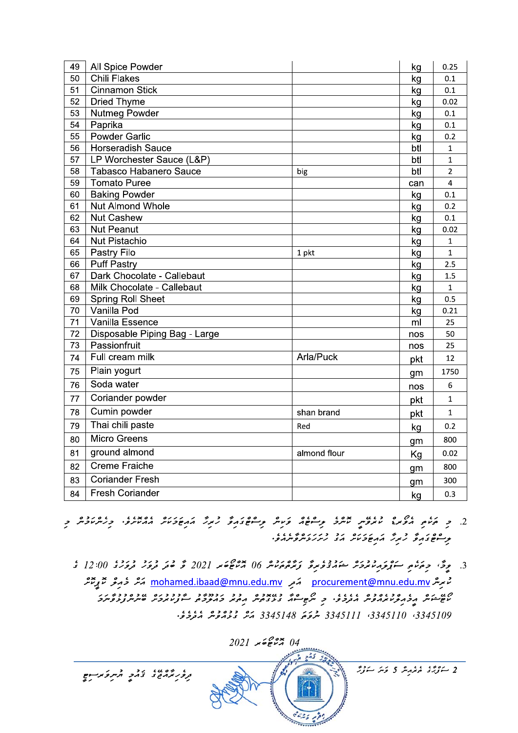| 49 | All Spice Powder              |              | kg  | 0.25           |
|----|-------------------------------|--------------|-----|----------------|
| 50 | <b>Chili Flakes</b>           |              | kg  | 0.1            |
| 51 | <b>Cinnamon Stick</b>         |              | kg  | 0.1            |
| 52 | <b>Dried Thyme</b>            |              | kg  | 0.02           |
| 53 | Nutmeg Powder                 |              | kg  | 0.1            |
| 54 | Paprika                       |              | kg  | 0.1            |
| 55 | Powder Garlic                 |              | kg  | 0.2            |
| 56 | <b>Horseradish Sauce</b>      |              | btl | $\mathbf{1}$   |
| 57 | LP Worchester Sauce (L&P)     |              | btl | $\mathbf{1}$   |
| 58 | <b>Tabasco Habanero Sauce</b> | big          | btl | $\overline{2}$ |
| 59 | <b>Tomato Puree</b>           |              | can | $\overline{4}$ |
| 60 | <b>Baking Powder</b>          |              | kg  | 0.1            |
| 61 | Nut Almond Whole              |              | kg  | 0.2            |
| 62 | <b>Nut Cashew</b>             |              | kg  | 0.1            |
| 63 | <b>Nut Peanut</b>             |              | kg  | 0.02           |
| 64 | Nut Pistachio                 |              | kg  | $\mathbf{1}$   |
| 65 | Pastry Filo                   | 1 pkt        | kg  | $\mathbf{1}$   |
| 66 | <b>Puff Pastry</b>            |              | kg  | 2.5            |
| 67 | Dark Chocolate - Callebaut    |              | kg  | 1.5            |
| 68 | Milk Chocolate - Callebaut    |              | kg  | $\mathbf{1}$   |
| 69 | <b>Spring Roll Sheet</b>      |              | kg  | 0.5            |
| 70 | Vanilla Pod                   |              | kg  | 0.21           |
| 71 | Vanilla Essence               |              | ml  | 25             |
| 72 | Disposable Piping Bag - Large |              | nos | 50             |
| 73 | Passionfruit                  |              | nos | 25             |
| 74 | Full cream milk               | Arla/Puck    | pkt | 12             |
| 75 | Plain yogurt                  |              | gm  | 1750           |
| 76 | Soda water                    |              | nos | 6              |
| 77 | Coriander powder              |              | pkt | $\mathbf{1}$   |
| 78 | Cumin powder                  | shan brand   | pkt | $\mathbf{1}$   |
| 79 | Thai chili paste              | Red          | kg  | 0.2            |
| 80 | <b>Micro Greens</b>           |              | gm  | 800            |
| 81 | ground almond                 | almond flour | Kg  | 0.02           |
| 82 | <b>Creme Fraiche</b>          |              | gm  | 800            |
| 83 | <b>Coriander Fresh</b>        |              | gm  | 300            |
| 84 | <b>Fresh Coriander</b>        |              | kg  | 0.3            |

- .<br>2. כ היוה הפזוגי מזקיות מיתכ תי-חסה פיניות המספריה המוקדות ההמיקים. כניות מכית כ
	- 3. موڭ، جەڭمامو سۇنجەم دەرى مۇروپى ئەرەپ ئۇ ئەھمەت 100 مىل ھەرد 1202 گە ھەر مەدە دىردى 12:00 گ مُ مِرِسْرِ procurement@mnu.edu.mv مَعِرِ mohamed.ibaad@mnu.edu.mv مَسْرِ خَرِمِوْ مُعَ بِمِسْرَ רוט מים גם בגום בם גוגגם במים המודדות בינדים בבינדים בינדים הבינדים בבינדים.<br>משייטיות וברופאיז ברופים בינדים מתפייטורים בינדים ברופכם, ויינדים ביות ובנידים ביות בינדים. 3345109 3345110 3345111 شرىم 3345148 شرى ودەدەر شەرىرى.



.<br>2 س*ۇرۇ* ئەمەمەر 5 كەنز سۇر*ۇر*